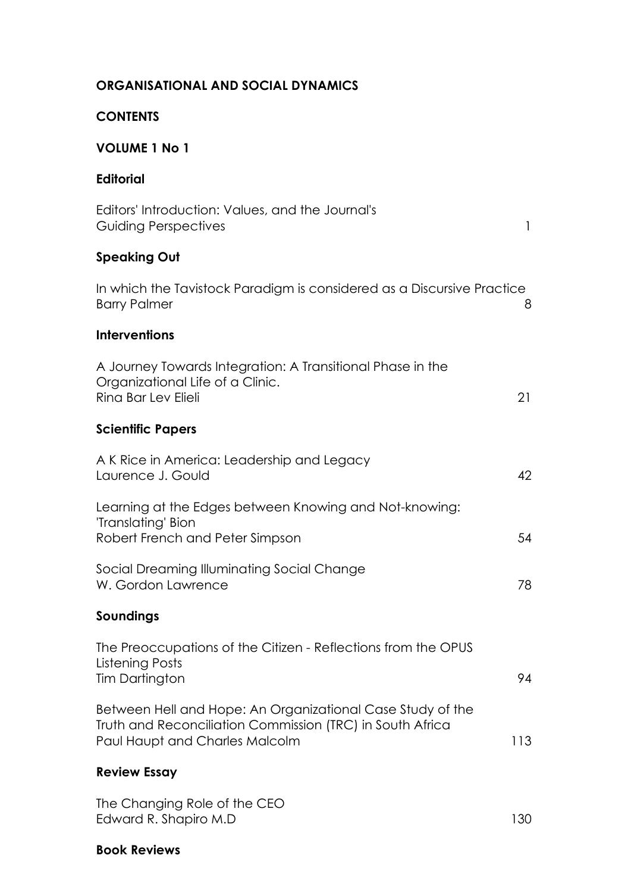| <b>ORGANISATIONAL AND SOCIAL DYNAMICS</b>                                                                                                                 |              |
|-----------------------------------------------------------------------------------------------------------------------------------------------------------|--------------|
| <b>CONTENTS</b>                                                                                                                                           |              |
| <b>VOLUME 1 No 1</b>                                                                                                                                      |              |
| <b>Editorial</b>                                                                                                                                          |              |
| Editors' Introduction: Values, and the Journal's<br><b>Guiding Perspectives</b>                                                                           | $\mathbf{1}$ |
| <b>Speaking Out</b>                                                                                                                                       |              |
| In which the Tavistock Paradigm is considered as a Discursive Practice<br><b>Barry Palmer</b>                                                             | 8            |
| <b>Interventions</b>                                                                                                                                      |              |
| A Journey Towards Integration: A Transitional Phase in the<br>Organizational Life of a Clinic.<br>Rina Bar Lev Elieli                                     | 21           |
| <b>Scientific Papers</b>                                                                                                                                  |              |
| A K Rice in America: Leadership and Legacy<br>Laurence J. Gould                                                                                           | 42           |
| Learning at the Edges between Knowing and Not-knowing:<br>'Translating' Bion<br>Robert French and Peter Simpson                                           | 54           |
| Social Dreaming Illuminating Social Change<br>W. Gordon Lawrence                                                                                          | 78           |
| Soundings                                                                                                                                                 |              |
| The Preoccupations of the Citizen - Reflections from the OPUS<br>Listening Posts<br><b>Tim Dartington</b>                                                 | 94           |
| Between Hell and Hope: An Organizational Case Study of the<br>Truth and Reconciliation Commission (TRC) in South Africa<br>Paul Haupt and Charles Malcolm | 113          |
| <b>Review Essay</b>                                                                                                                                       |              |
| The Changing Role of the CEO<br>Edward R. Shapiro M.D                                                                                                     | 130          |

#### **Book Reviews**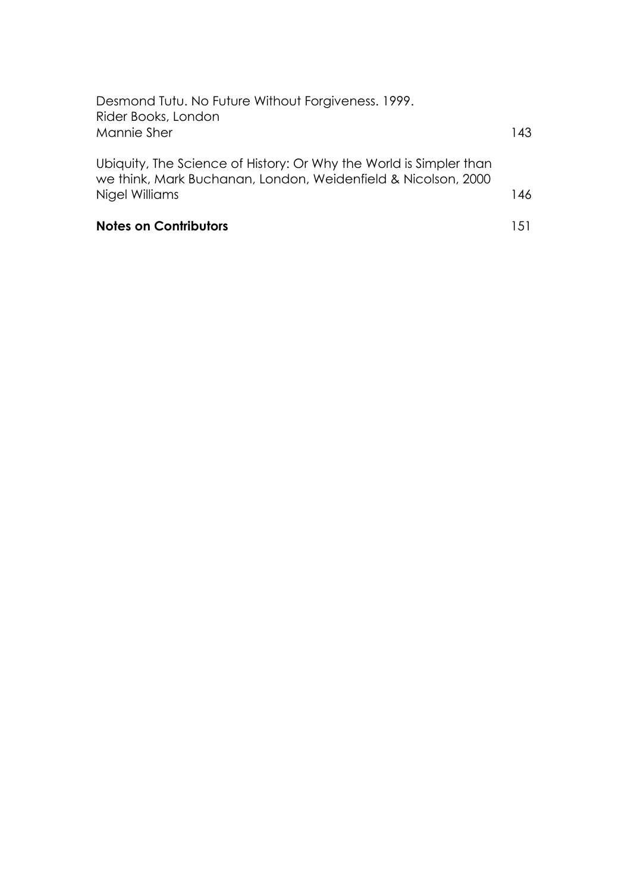| <b>Notes on Contributors</b>                                                                                                                          | 1.51 |
|-------------------------------------------------------------------------------------------------------------------------------------------------------|------|
| Ubiquity, The Science of History: Or Why the World is Simpler than<br>we think, Mark Buchanan, London, Weidenfield & Nicolson, 2000<br>Nigel Williams | 146  |
| Desmond Tutu. No Future Without Forgiveness. 1999.<br>Rider Books, London<br>Mannie Sher                                                              | 143. |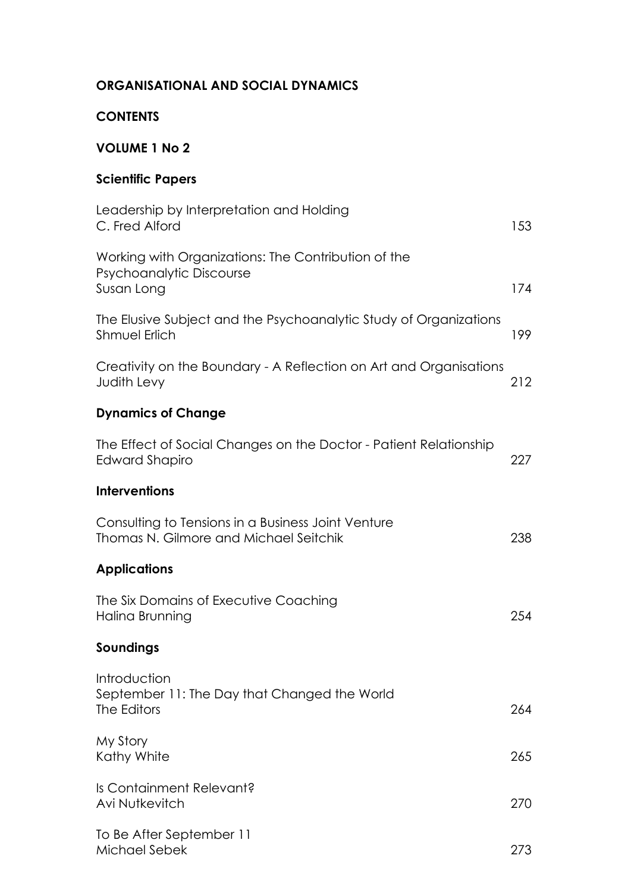## **ORGANISATIONAL AND SOCIAL DYNAMICS**

## **CONTENTS**

# **VOLUME 1 No 2**

## **Scientific Papers**

| Leadership by Interpretation and Holding<br>C. Fred Alford                                    | 153 |
|-----------------------------------------------------------------------------------------------|-----|
| Working with Organizations: The Contribution of the<br>Psychoanalytic Discourse<br>Susan Long | 174 |
| The Elusive Subject and the Psychoanalytic Study of Organizations<br><b>Shmuel Erlich</b>     | 199 |
| Creativity on the Boundary - A Reflection on Art and Organisations<br>Judith Levy             | 212 |
| <b>Dynamics of Change</b>                                                                     |     |
| The Effect of Social Changes on the Doctor - Patient Relationship<br>Edward Shapiro           | 227 |
| <b>Interventions</b>                                                                          |     |
| Consulting to Tensions in a Business Joint Venture<br>Thomas N. Gilmore and Michael Seitchik  | 238 |
| <b>Applications</b>                                                                           |     |
| The Six Domains of Executive Coaching<br>Halina Brunning                                      | 254 |
| Soundings                                                                                     |     |
| Introduction<br>September 11: The Day that Changed the World<br>The Editors                   | 264 |
| My Story<br>Kathy White                                                                       | 265 |
| Is Containment Relevant?<br>Avi Nutkevitch                                                    | 270 |
| To Be After September 11<br>Michael Sebek                                                     | 273 |